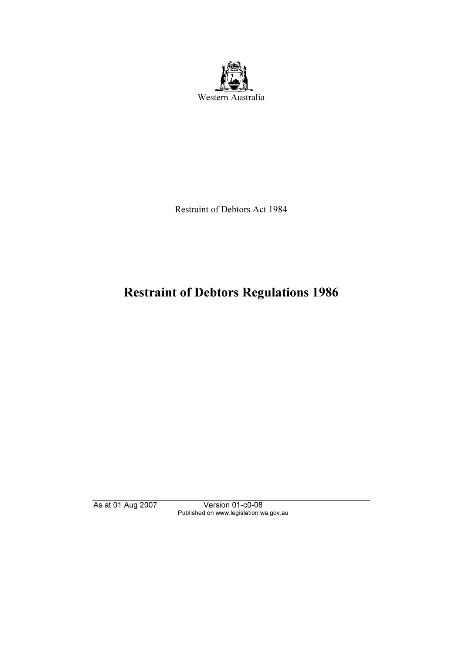

Restraint of Debtors Act 1984

# Restraint of Debtors Regulations 1986

As at 01 Aug 2007 Version 01-c0-08 Published on www.legislation.wa.gov.au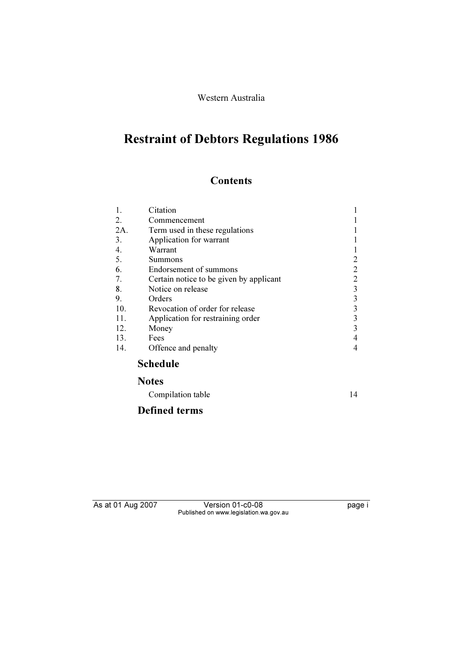Western Australia

# Restraint of Debtors Regulations 1986

# **Contents**

| 1.  | Citation                                |   |
|-----|-----------------------------------------|---|
| 2.  | Commencement                            |   |
| 2A. | Term used in these regulations          |   |
| 3.  | Application for warrant                 |   |
| 4.  | Warrant                                 |   |
| 5.  | Summons                                 |   |
| 6.  | Endorsement of summons                  | 2 |
| 7.  | Certain notice to be given by applicant | 2 |
| 8.  | Notice on release                       | 3 |
| 9.  | Orders                                  | 3 |
| 10. | Revocation of order for release         | 3 |
| 11. | Application for restraining order       | 3 |
| 12. | Money                                   | 3 |
| 13. | Fees                                    |   |
| 14. | Offence and penalty                     | 4 |
|     | <b>Schedule</b>                         |   |
|     | <b>Notes</b>                            |   |

# Compilation table 14

# Defined terms

As at 01 Aug 2007 Version 01-c0-08 page i Published on www.legislation.wa.gov.au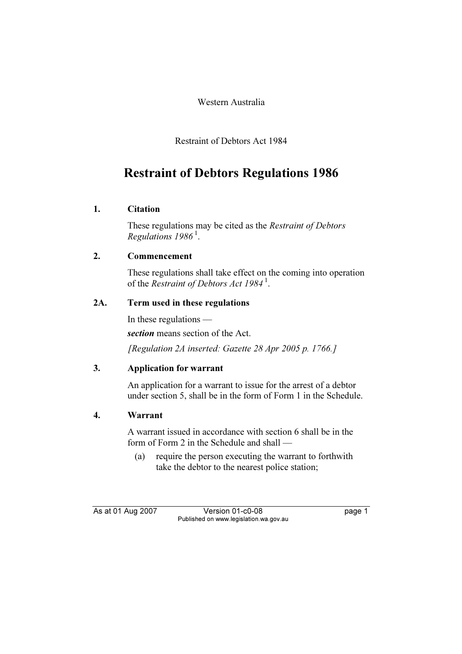Western Australia

Restraint of Debtors Act 1984

# Restraint of Debtors Regulations 1986

# 1. Citation

 These regulations may be cited as the Restraint of Debtors Regulations  $1986<sup>1</sup>$ .

# 2. Commencement

 These regulations shall take effect on the coming into operation of the Restraint of Debtors Act 1984<sup>1</sup>.

# 2A. Term used in these regulations

 In these regulations section means section of the Act.

[Regulation 2A inserted: Gazette 28 Apr 2005 p. 1766.]

# 3. Application for warrant

 An application for a warrant to issue for the arrest of a debtor under section 5, shall be in the form of Form 1 in the Schedule.

# 4. Warrant

 A warrant issued in accordance with section 6 shall be in the form of Form 2 in the Schedule and shall —

 (a) require the person executing the warrant to forthwith take the debtor to the nearest police station;

As at 01 Aug 2007 Version 01-c0-08 page 1 Published on www.legislation.wa.gov.au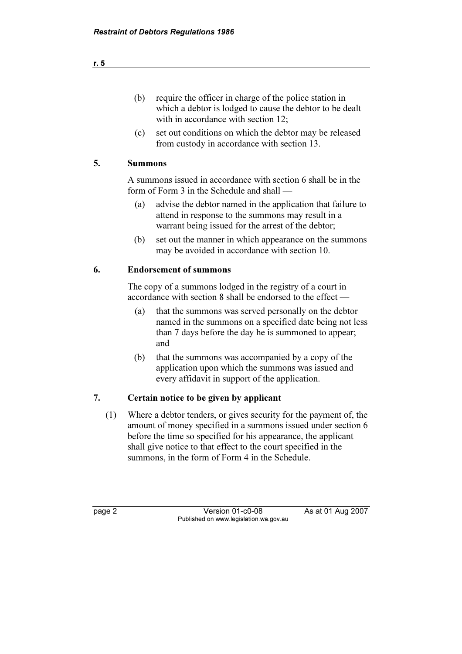| require the officer in charge of the police station in   |
|----------------------------------------------------------|
| which a debtor is lodged to cause the debtor to be dealt |
| with in accordance with section 12;                      |

 (c) set out conditions on which the debtor may be released from custody in accordance with section 13.

### 5. Summons

 A summons issued in accordance with section 6 shall be in the form of Form 3 in the Schedule and shall —

- (a) advise the debtor named in the application that failure to attend in response to the summons may result in a warrant being issued for the arrest of the debtor;
- (b) set out the manner in which appearance on the summons may be avoided in accordance with section 10.

# 6. Endorsement of summons

 The copy of a summons lodged in the registry of a court in accordance with section 8 shall be endorsed to the effect —

- (a) that the summons was served personally on the debtor named in the summons on a specified date being not less than 7 days before the day he is summoned to appear; and
- (b) that the summons was accompanied by a copy of the application upon which the summons was issued and every affidavit in support of the application.

# 7. Certain notice to be given by applicant

 (1) Where a debtor tenders, or gives security for the payment of, the amount of money specified in a summons issued under section 6 before the time so specified for his appearance, the applicant shall give notice to that effect to the court specified in the summons, in the form of Form 4 in the Schedule.

page 2 Version 01-c0-08 As at 01 Aug 2007 Published on www.legislation.wa.gov.au

|  | M.<br>v |
|--|---------|
|  |         |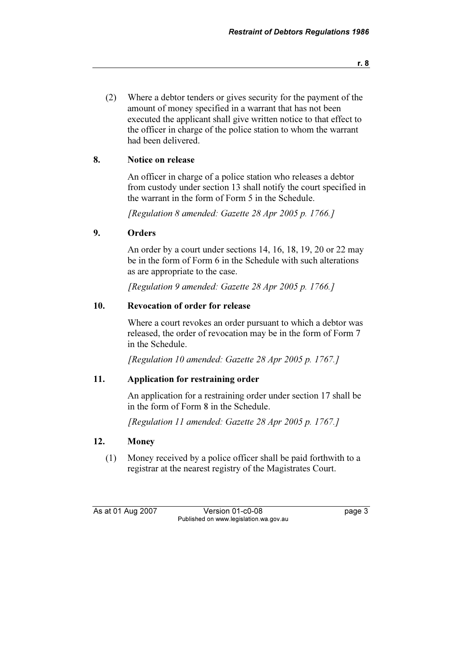(2) Where a debtor tenders or gives security for the payment of the amount of money specified in a warrant that has not been executed the applicant shall give written notice to that effect to the officer in charge of the police station to whom the warrant had been delivered.

# 8. Notice on release

 An officer in charge of a police station who releases a debtor from custody under section 13 shall notify the court specified in the warrant in the form of Form 5 in the Schedule.

[Regulation 8 amended: Gazette 28 Apr 2005 p. 1766.]

# 9. Orders

 An order by a court under sections 14, 16, 18, 19, 20 or 22 may be in the form of Form 6 in the Schedule with such alterations as are appropriate to the case.

[Regulation 9 amended: Gazette 28 Apr 2005 p. 1766.]

# 10. Revocation of order for release

 Where a court revokes an order pursuant to which a debtor was released, the order of revocation may be in the form of Form 7 in the Schedule.

[Regulation 10 amended: Gazette 28 Apr 2005 p. 1767.]

# 11. Application for restraining order

 An application for a restraining order under section 17 shall be in the form of Form 8 in the Schedule.

[Regulation 11 amended: Gazette 28 Apr 2005 p. 1767.]

# 12. Money

 (1) Money received by a police officer shall be paid forthwith to a registrar at the nearest registry of the Magistrates Court.

As at 01 Aug 2007 Version 01-c0-08 page 3 Published on www.legislation.wa.gov.au

r. 8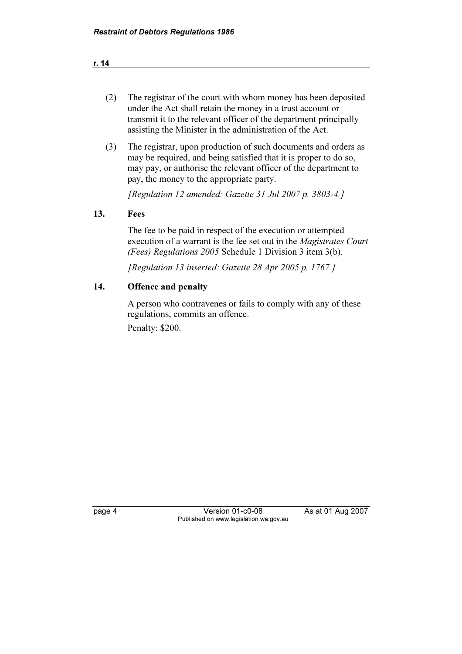r. 14

- (2) The registrar of the court with whom money has been deposited under the Act shall retain the money in a trust account or transmit it to the relevant officer of the department principally assisting the Minister in the administration of the Act.
- (3) The registrar, upon production of such documents and orders as may be required, and being satisfied that it is proper to do so, may pay, or authorise the relevant officer of the department to pay, the money to the appropriate party.

[Regulation 12 amended: Gazette 31 Jul 2007 p. 3803-4.]

# 13. Fees

 The fee to be paid in respect of the execution or attempted execution of a warrant is the fee set out in the Magistrates Court (Fees) Regulations 2005 Schedule 1 Division 3 item 3(b).

[Regulation 13 inserted: Gazette 28 Apr 2005 p. 1767.]

# 14. Offence and penalty

 A person who contravenes or fails to comply with any of these regulations, commits an offence. Penalty: \$200.

page 4 Version 01-c0-08 As at 01 Aug 2007 Published on www.legislation.wa.gov.au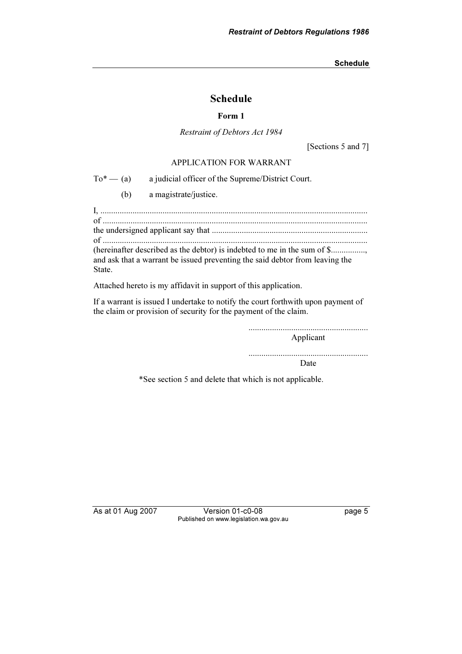# Schedule

#### Form 1

Restraint of Debtors Act 1984

[Sections 5 and 7]

#### APPLICATION FOR WARRANT

 $To^*$  — (a) a judicial officer of the Supreme/District Court.

(b) a magistrate/justice.

I, ............................................................................................................................. of ............................................................................................................................ the undersigned applicant say that ......................................................................... of ............................................................................................................................

(hereinafter described as the debtor) is indebted to me in the sum of \$................, and ask that a warrant be issued preventing the said debtor from leaving the State.

Attached hereto is my affidavit in support of this application.

If a warrant is issued I undertake to notify the court forthwith upon payment of the claim or provision of security for the payment of the claim.

........................................................

Applicant

........................................................ Date

\*See section 5 and delete that which is not applicable.

As at 01 Aug 2007 Version 01-c0-08 page 5 Published on www.legislation.wa.gov.au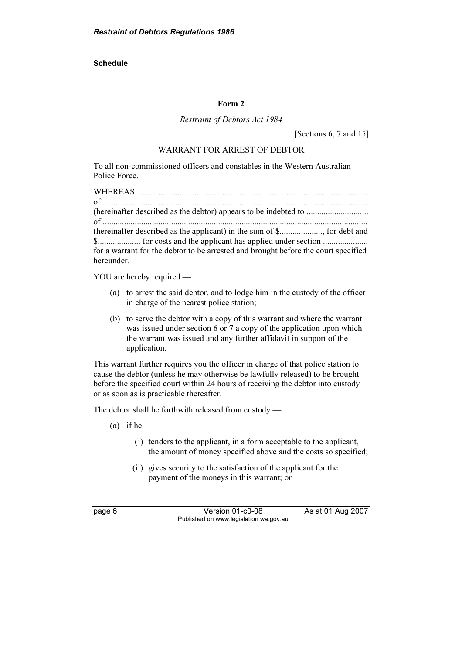#### Form 2

#### Restraint of Debtors Act 1984

[Sections 6, 7 and 15]

#### WARRANT FOR ARREST OF DEBTOR

To all non-commissioned officers and constables in the Western Australian Police Force.

| for a warrant for the debtor to be arrested and brought before the court specified |
|------------------------------------------------------------------------------------|
| hereunder.                                                                         |

YOU are hereby required —

- (a) to arrest the said debtor, and to lodge him in the custody of the officer in charge of the nearest police station;
- (b) to serve the debtor with a copy of this warrant and where the warrant was issued under section 6 or 7 a copy of the application upon which the warrant was issued and any further affidavit in support of the application.

This warrant further requires you the officer in charge of that police station to cause the debtor (unless he may otherwise be lawfully released) to be brought before the specified court within 24 hours of receiving the debtor into custody or as soon as is practicable thereafter.

The debtor shall be forthwith released from custody —

- (a) if he  $-$ 
	- (i) tenders to the applicant, in a form acceptable to the applicant, the amount of money specified above and the costs so specified;
	- (ii) gives security to the satisfaction of the applicant for the payment of the moneys in this warrant; or

page 6 Version 01-c0-08 As at 01 Aug 2007 Published on www.legislation.wa.gov.au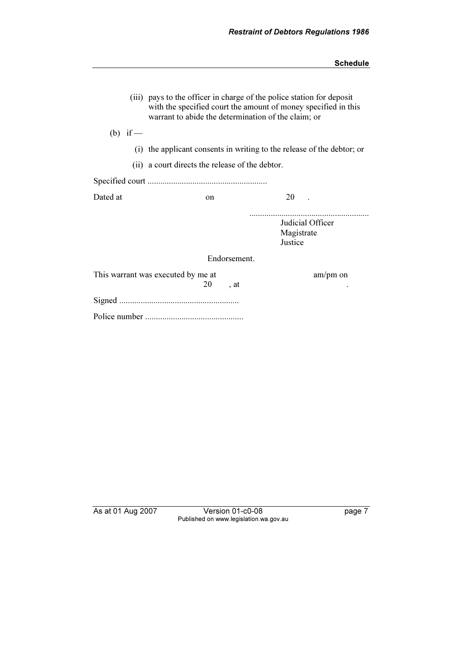| (iii) pays to the officer in charge of the police station for deposit<br>with the specified court the amount of money specified in this<br>warrant to abide the determination of the claim; or |                                                 |              |                                           |  |  |
|------------------------------------------------------------------------------------------------------------------------------------------------------------------------------------------------|-------------------------------------------------|--------------|-------------------------------------------|--|--|
| (b) if $-$                                                                                                                                                                                     |                                                 |              |                                           |  |  |
| (i) the applicant consents in writing to the release of the debtor; or                                                                                                                         |                                                 |              |                                           |  |  |
|                                                                                                                                                                                                | (ii) a court directs the release of the debtor. |              |                                           |  |  |
|                                                                                                                                                                                                |                                                 |              |                                           |  |  |
| Dated at                                                                                                                                                                                       | on                                              |              | 20                                        |  |  |
|                                                                                                                                                                                                |                                                 |              | Judicial Officer<br>Magistrate<br>Justice |  |  |
|                                                                                                                                                                                                |                                                 | Endorsement. |                                           |  |  |
|                                                                                                                                                                                                | This warrant was executed by me at<br>20        | , at         | $am/pm$ on                                |  |  |
|                                                                                                                                                                                                |                                                 |              |                                           |  |  |
|                                                                                                                                                                                                |                                                 |              |                                           |  |  |

As at 01 Aug 2007 Version 01-c0-08 page 7 Published on www.legislation.wa.gov.au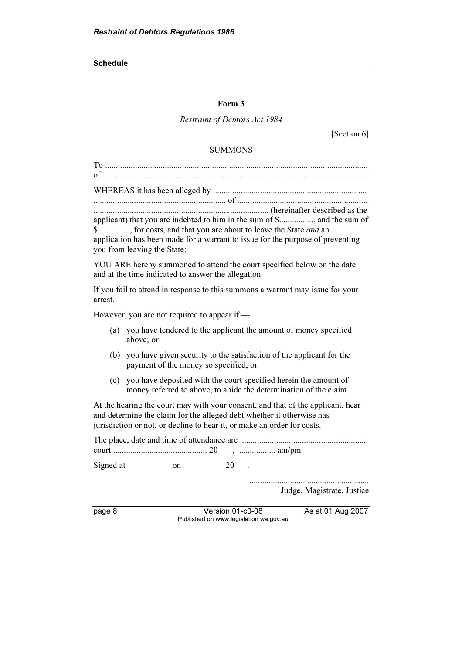#### Form 3

# Restraint of Debtors Act 1984

[Section 6]

#### SUMMONS

| applicant) that you are indebted to him in the sum of \$, and the sum of<br>\$, for costs, and that you are about to leave the State and an<br>application has been made for a warrant to issue for the purpose of preventing<br>you from leaving the State: |  |  |  |
|--------------------------------------------------------------------------------------------------------------------------------------------------------------------------------------------------------------------------------------------------------------|--|--|--|
| YOU ARE hereby summoned to attend the court specified below on the date<br>and at the time indicated to answer the allegation.                                                                                                                               |  |  |  |
| If you fail to attend in response to this summons a warrant may issue for your<br>arrest.                                                                                                                                                                    |  |  |  |
| However, you are not required to appear if —                                                                                                                                                                                                                 |  |  |  |
| you have tendered to the applicant the amount of money specified<br>(a)<br>above; or                                                                                                                                                                         |  |  |  |
| (b) you have given security to the satisfaction of the applicant for the<br>payment of the money so specified; or                                                                                                                                            |  |  |  |
| you have deposited with the court specified herein the amount of<br>(c)<br>money referred to above, to abide the determination of the claim.                                                                                                                 |  |  |  |
| At the hearing the court may with your consent, and that of the applicant, hear<br>and determine the claim for the alleged debt whether it otherwise has<br>jurisdiction or not, or decline to hear it, or make an order for costs.                          |  |  |  |
|                                                                                                                                                                                                                                                              |  |  |  |
| 20<br>Signed at<br>on                                                                                                                                                                                                                                        |  |  |  |
| Judge, Magistrate, Justice                                                                                                                                                                                                                                   |  |  |  |

page 8 Version 01-c0-08 As at 01 Aug 2007 Published on www.legislation.wa.gov.au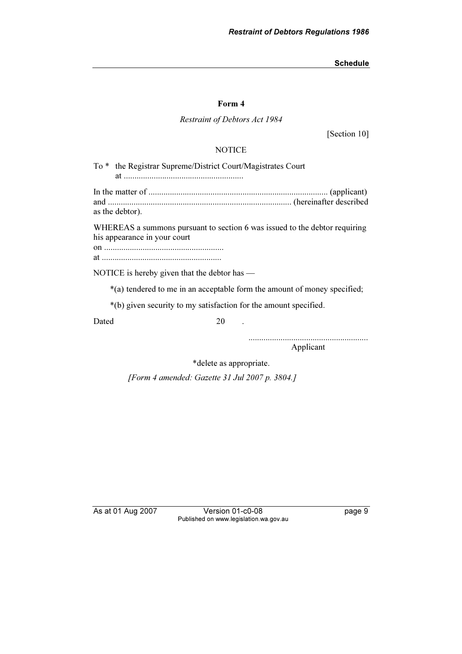#### Form 4

#### Restraint of Debtors Act 1984

[Section 10]

#### **NOTICE**

To \* the Registrar Supreme/District Court/Magistrates Court at ........................................................ In the matter of .................................................................................... (applicant) and ...................................................................................... (hereinafter described as the debtor). WHEREAS a summons pursuant to section 6 was issued to the debtor requiring his appearance in your court on ........................................................ at ........................................................ NOTICE is hereby given that the debtor has — \*(a) tendered to me in an acceptable form the amount of money specified;

\*(b) given security to my satisfaction for the amount specified.

Dated 20 20

........................................................

Applicant

\*delete as appropriate.

[Form 4 amended: Gazette 31 Jul 2007 p. 3804.]

As at 01 Aug 2007 Version 01-c0-08 page 9 Published on www.legislation.wa.gov.au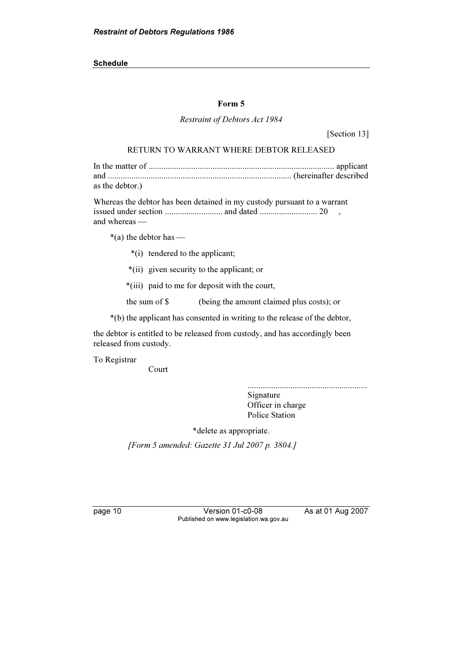#### Form 5

#### Restraint of Debtors Act 1984

[Section 13]

#### RETURN TO WARRANT WHERE DEBTOR RELEASED

In the matter of ....................................................................................... applicant and ...................................................................................... (hereinafter described as the debtor.)

Whereas the debtor has been detained in my custody pursuant to a warrant issued under section ........................... and dated ........................... 20 , and whereas —

 $*(a)$  the debtor has —

- \*(i) tendered to the applicant;
- \*(ii) given security to the applicant; or
- \*(iii) paid to me for deposit with the court,

the sum of \$ (being the amount claimed plus costs); or

\*(b) the applicant has consented in writing to the release of the debtor,

the debtor is entitled to be released from custody, and has accordingly been released from custody.

To Registrar

Court

........................................................ Signature Officer in charge Police Station

\*delete as appropriate.

[Form 5 amended: Gazette 31 Jul 2007 p. 3804.]

page 10 Version 01-c0-08 As at 01 Aug 2007 Published on www.legislation.wa.gov.au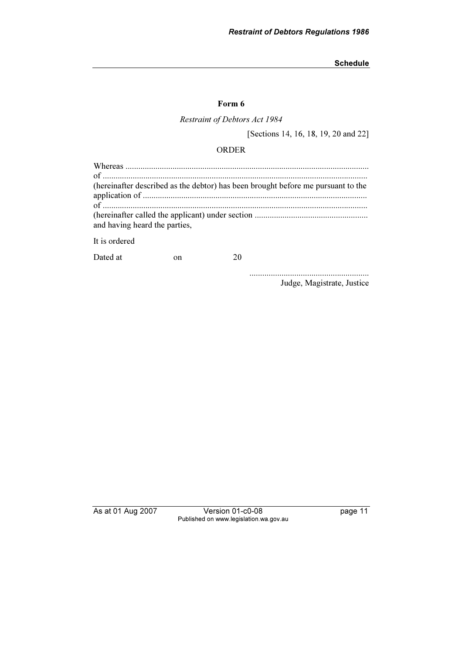#### Form 6

Restraint of Debtors Act 1984

[Sections 14, 16, 18, 19, 20 and 22]

# ORDER

| (hereinafter described as the debtor) has been brought before me pursuant to the |
|----------------------------------------------------------------------------------|
|                                                                                  |
|                                                                                  |
| and having heard the parties,                                                    |
| It is ordered                                                                    |

Dated at on 20

........................................................ Judge, Magistrate, Justice

As at 01 Aug 2007 Version 01-c0-08 page 11 Published on www.legislation.wa.gov.au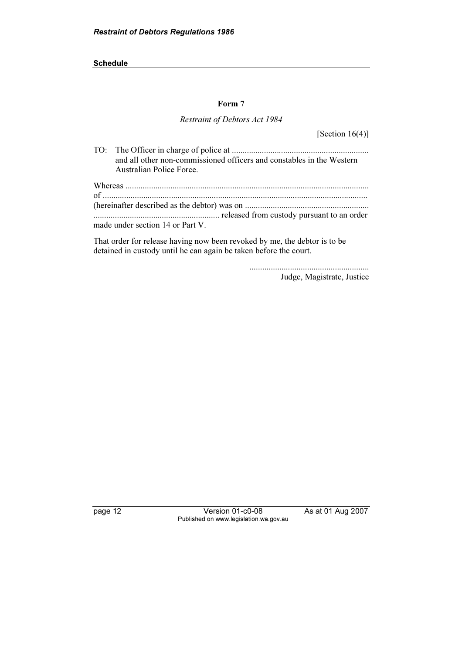#### Form 7

#### Restraint of Debtors Act 1984

[Section  $16(4)$ ]

| and all other non-commissioned officers and constables in the Western |
|-----------------------------------------------------------------------|
| Australian Police Force.                                              |
|                                                                       |
|                                                                       |
|                                                                       |
| made under section 14 or Part V.                                      |

That order for release having now been revoked by me, the debtor is to be detained in custody until he can again be taken before the court.

........................................................

Judge, Magistrate, Justice

page 12 Version 01-c0-08 As at 01 Aug 2007 Published on www.legislation.wa.gov.au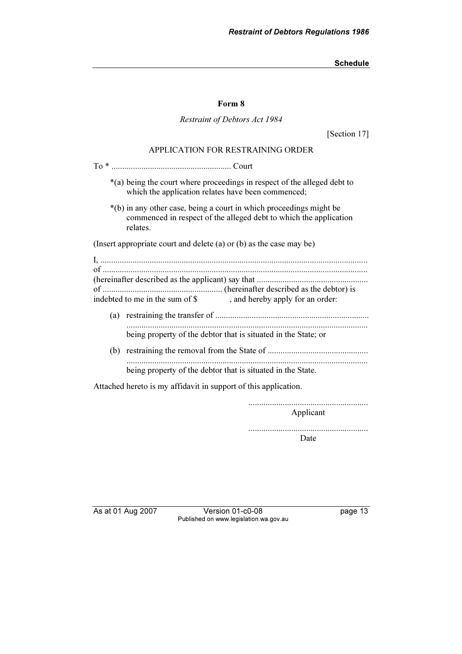#### Form 8

#### Restraint of Debtors Act 1984

[Section 17]

#### APPLICATION FOR RESTRAINING ORDER

| *(a) being the court where proceedings in respect of the alleged debt to<br>which the application relates have been commenced;                       |
|------------------------------------------------------------------------------------------------------------------------------------------------------|
| *(b) in any other case, being a court in which proceedings might be<br>commenced in respect of the alleged debt to which the application<br>relates. |
| (Insert appropriate court and delete (a) or (b) as the case may be)                                                                                  |
| indebted to me in the sum of \$<br>, and hereby apply for an order:                                                                                  |
| being property of the debtor that is situated in the State; or                                                                                       |
| (b)<br>being property of the debtor that is situated in the State.                                                                                   |
| Attached hereto is my affidavit in support of this application.                                                                                      |
|                                                                                                                                                      |

........................................................

Applicant

........................................................

Date

As at 01 Aug 2007 Version 01-c0-08 page 13 Published on www.legislation.wa.gov.au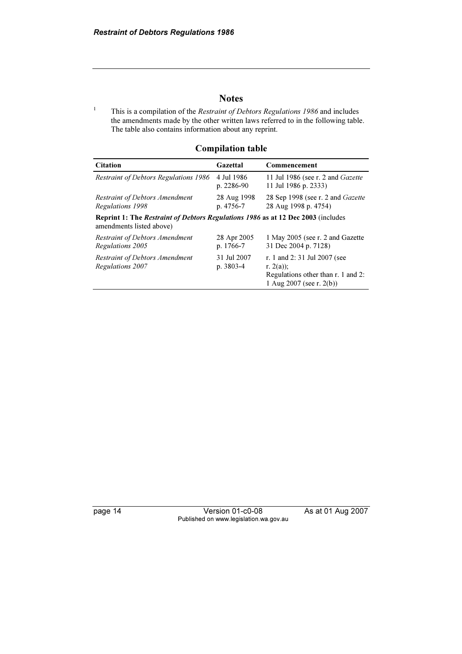## **Notes**

1 This is a compilation of the Restraint of Debtors Regulations 1986 and includes the amendments made by the other written laws referred to in the following table. The table also contains information about any reprint.

#### Compilation table

| <b>Citation</b>                                                                                                     | Gazettal                     | Commencement                                                                                                 |  |  |
|---------------------------------------------------------------------------------------------------------------------|------------------------------|--------------------------------------------------------------------------------------------------------------|--|--|
| <b>Restraint of Debtors Regulations 1986</b>                                                                        | 4 Jul 1986<br>$p. 2286-90$   | 11 Jul 1986 (see r. 2 and <i>Gazette</i><br>11 Jul 1986 p. 2333)                                             |  |  |
| <b>Restraint of Debtors Amendment</b><br>Regulations 1998                                                           | 28 Aug 1998<br>p. 4756-7     | 28 Sep 1998 (see r. 2 and <i>Gazette</i><br>28 Aug 1998 p. 4754)                                             |  |  |
| <b>Reprint 1: The Restraint of Debtors Regulations 1986 as at 12 Dec 2003</b> (includes<br>amendments listed above) |                              |                                                                                                              |  |  |
| <b>Restraint of Debtors Amendment</b><br>Regulations 2005                                                           | 28 Apr 2005<br>p. 1766-7     | 1 May 2005 (see r. 2 and Gazette<br>31 Dec 2004 p. 7128)                                                     |  |  |
| <b>Restraint of Debtors Amendment</b><br>Regulations 2007                                                           | 31 Jul 2007<br>$p. 3803 - 4$ | r. 1 and 2:31 Jul 2007 (see<br>r. $2(a)$ ;<br>Regulations other than r. 1 and 2:<br>1 Aug 2007 (see r. 2(b)) |  |  |

page 14 Version 01-c0-08 As at 01 Aug 2007 Published on www.legislation.wa.gov.au